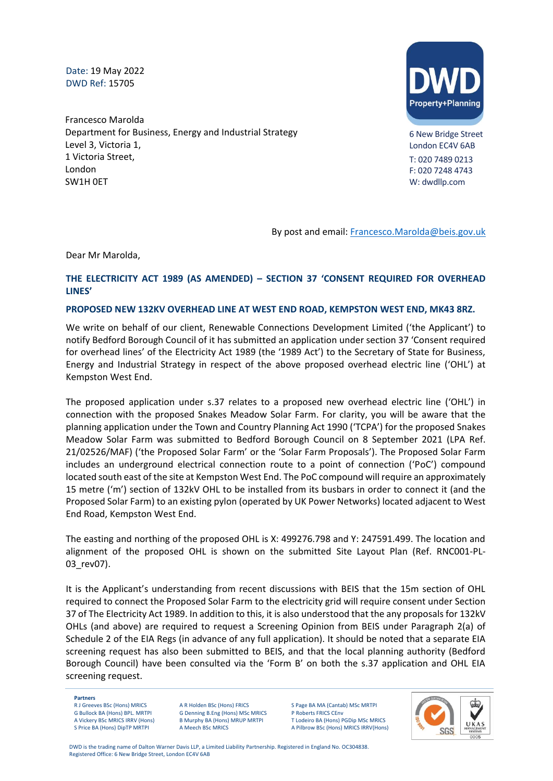Date: 19 May 2022 DWD Ref: 15705

Francesco Marolda Department for Business, Energy and Industrial Strategy Level 3, Victoria 1, 1 Victoria Street, London SW1H 0ET



6 New Bridge Street London EC4V 6AB T: 020 7489 0213 F: 020 7248 4743 W: dwdllp.com

By post and email: [Francesco.Marolda@beis.gov.uk](mailto:Francesco.Marolda@beis.gov.uk)

Dear Mr Marolda,

## **THE ELECTRICITY ACT 1989 (AS AMENDED) – SECTION 37 'CONSENT REQUIRED FOR OVERHEAD LINES'**

## **PROPOSED NEW 132KV OVERHEAD LINE AT WEST END ROAD, KEMPSTON WEST END, MK43 8RZ.**

We write on behalf of our client, Renewable Connections Development Limited ('the Applicant') to notify Bedford Borough Council of it has submitted an application under section 37 'Consent required for overhead lines' of the Electricity Act 1989 (the '1989 Act') to the Secretary of State for Business, Energy and Industrial Strategy in respect of the above proposed overhead electric line ('OHL') at Kempston West End.

The proposed application under s.37 relates to a proposed new overhead electric line ('OHL') in connection with the proposed Snakes Meadow Solar Farm. For clarity, you will be aware that the planning application under the Town and Country Planning Act 1990 ('TCPA') for the proposed Snakes Meadow Solar Farm was submitted to Bedford Borough Council on 8 September 2021 (LPA Ref. 21/02526/MAF) ('the Proposed Solar Farm' or the 'Solar Farm Proposals'). The Proposed Solar Farm includes an underground electrical connection route to a point of connection ('PoC') compound located south east of the site at Kempston West End. The PoC compound will require an approximately 15 metre ('m') section of 132kV OHL to be installed from its busbars in order to connect it (and the Proposed Solar Farm) to an existing pylon (operated by UK Power Networks) located adjacent to West End Road, Kempston West End.

The easting and northing of the proposed OHL is X: 499276.798 and Y: 247591.499. The location and alignment of the proposed OHL is shown on the submitted Site Layout Plan (Ref. RNC001-PL-03 rev07).

It is the Applicant's understanding from recent discussions with BEIS that the 15m section of OHL required to connect the Proposed Solar Farm to the electricity grid will require consent under Section 37 of The Electricity Act 1989. In addition to this, it is also understood that the any proposals for 132kV OHLs (and above) are required to request a Screening Opinion from BEIS under Paragraph 2(a) of Schedule 2 of the EIA Regs (in advance of any full application). It should be noted that a separate EIA screening request has also been submitted to BEIS, and that the local planning authority (Bedford Borough Council) have been consulted via the 'Form B' on both the s.37 application and OHL EIA screening request.

**Partners**

R J Greeves BSc (Hons) MRICS G Bullock BA (Hons) BPL. MRTPI A Vickery BSc MRICS IRRV (Hons) S Price BA (Hons) DipTP MRTPI

A R Holden BSc (Hons) FRICS G Denning B.Eng (Hons) MSc MRICS B Murphy BA (Hons) MRUP MRTPI A Meech BSc MRICS

S Page BA MA (Cantab) MSc MRTPI P Roberts FRICS CEnv T Lodeiro BA (Hons) PGDip MSc MRICS A Pilbrow BSc (Hons) MRICS IRRV(Hons)

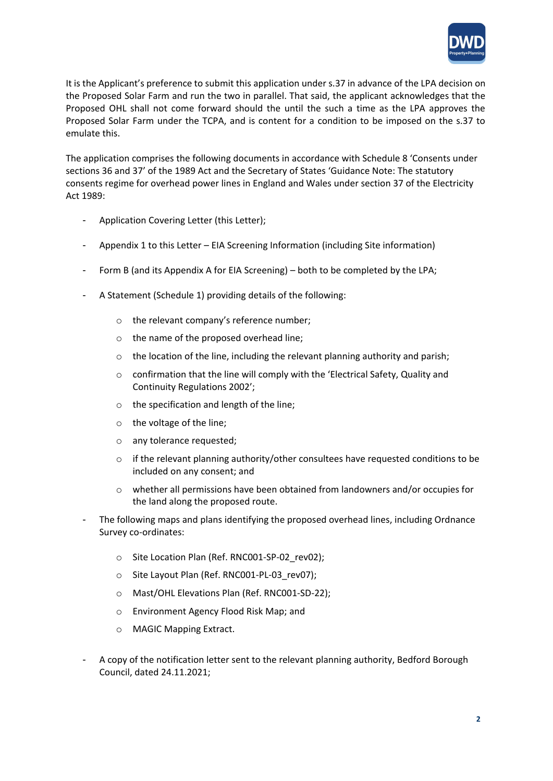

It is the Applicant's preference to submit this application under s.37 in advance of the LPA decision on the Proposed Solar Farm and run the two in parallel. That said, the applicant acknowledges that the Proposed OHL shall not come forward should the until the such a time as the LPA approves the Proposed Solar Farm under the TCPA, and is content for a condition to be imposed on the s.37 to emulate this.

The application comprises the following documents in accordance with Schedule 8 'Consents under sections 36 and 37' of the 1989 Act and the Secretary of States 'Guidance Note: The statutory consents regime for overhead power lines in England and Wales under section 37 of the Electricity Act 1989:

- Application Covering Letter (this Letter);
- Appendix 1 to this Letter EIA Screening Information (including Site information)
- Form B (and its Appendix A for EIA Screening) both to be completed by the LPA;
- A Statement (Schedule 1) providing details of the following:
	- o the relevant company's reference number;
	- o the name of the proposed overhead line;
	- $\circ$  the location of the line, including the relevant planning authority and parish;
	- o confirmation that the line will comply with the 'Electrical Safety, Quality and Continuity Regulations 2002';
	- o the specification and length of the line;
	- o the voltage of the line;
	- o any tolerance requested;
	- $\circ$  if the relevant planning authority/other consultees have requested conditions to be included on any consent; and
	- $\circ$  whether all permissions have been obtained from landowners and/or occupies for the land along the proposed route.
- The following maps and plans identifying the proposed overhead lines, including Ordnance Survey co-ordinates:
	- o Site Location Plan (Ref. RNC001-SP-02 rev02);
	- o Site Layout Plan (Ref. RNC001-PL-03 rev07);
	- o Mast/OHL Elevations Plan (Ref. RNC001-SD-22);
	- o Environment Agency Flood Risk Map; and
	- o MAGIC Mapping Extract.
- A copy of the notification letter sent to the relevant planning authority, Bedford Borough Council, dated 24.11.2021;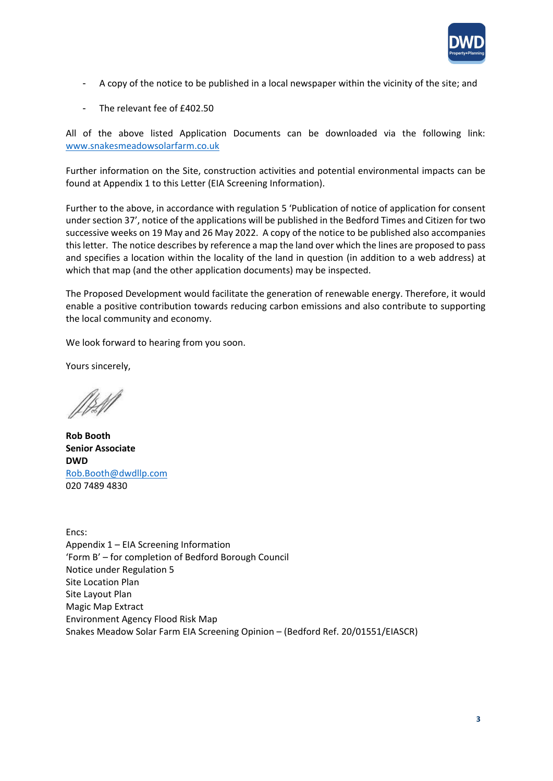

- A copy of the notice to be published in a local newspaper within the vicinity of the site; and
- The relevant fee of £402.50

All of the above listed Application Documents can be downloaded via the following link: [www.snakesmeadowsolarfarm.co.uk](https://linkprotect.cudasvc.com/url?a=http%3a%2f%2fwww.snakesmeadowsolarfarm.co.uk&c=E,1,jY0q8KPtYl2BR-Mzyx50BPet_u093b92QhDY4LjmVM460m9UgHopv1oYriThC6fjbz5Qjq8oCMuagmjEIodCFhV3Wd8-osBa2AZVBoYprxRmSZa-6rg3_eqQ&typo=1)

Further information on the Site, construction activities and potential environmental impacts can be found at Appendix 1 to this Letter (EIA Screening Information).

Further to the above, in accordance with regulation 5 'Publication of notice of application for consent under section 37', notice of the applications will be published in the Bedford Times and Citizen for two successive weeks on 19 May and 26 May 2022. A copy of the notice to be published also accompanies this letter. The notice describes by reference a map the land over which the lines are proposed to pass and specifies a location within the locality of the land in question (in addition to a web address) at which that map (and the other application documents) may be inspected.

The Proposed Development would facilitate the generation of renewable energy. Therefore, it would enable a positive contribution towards reducing carbon emissions and also contribute to supporting the local community and economy.

We look forward to hearing from you soon.

Yours sincerely,

**Rob Booth Senior Associate DWD** Rob.Booth@dwdllp.com 020 7489 4830

Encs: Appendix 1 – EIA Screening Information 'Form B' – for completion of Bedford Borough Council Notice under Regulation 5 Site Location Plan Site Layout Plan Magic Map Extract Environment Agency Flood Risk Map Snakes Meadow Solar Farm EIA Screening Opinion – (Bedford Ref. 20/01551/EIASCR)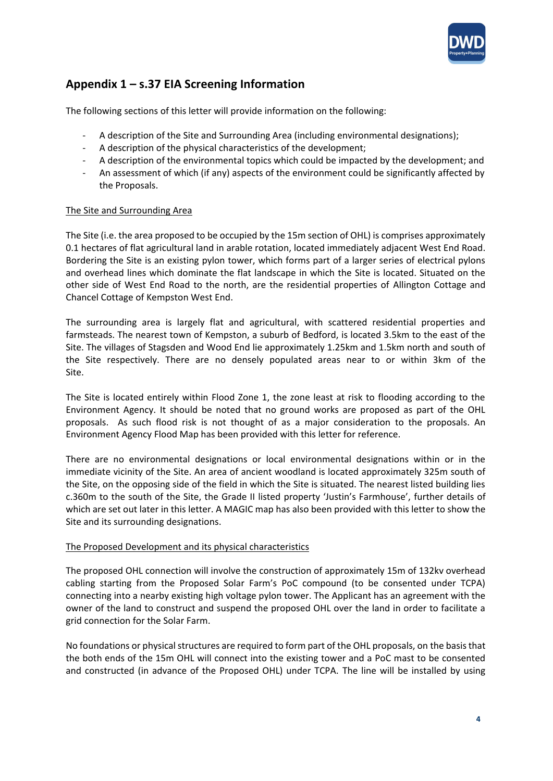

# **Appendix 1 – s.37 EIA Screening Information**

The following sections of this letter will provide information on the following:

- A description of the Site and Surrounding Area (including environmental designations);
- A description of the physical characteristics of the development;
- A description of the environmental topics which could be impacted by the development; and
- An assessment of which (if any) aspects of the environment could be significantly affected by the Proposals.

## The Site and Surrounding Area

The Site (i.e. the area proposed to be occupied by the 15m section of OHL) is comprises approximately 0.1 hectares of flat agricultural land in arable rotation, located immediately adjacent West End Road. Bordering the Site is an existing pylon tower, which forms part of a larger series of electrical pylons and overhead lines which dominate the flat landscape in which the Site is located. Situated on the other side of West End Road to the north, are the residential properties of Allington Cottage and Chancel Cottage of Kempston West End.

The surrounding area is largely flat and agricultural, with scattered residential properties and farmsteads. The nearest town of Kempston, a suburb of Bedford, is located 3.5km to the east of the Site. The villages of Stagsden and Wood End lie approximately 1.25km and 1.5km north and south of the Site respectively. There are no densely populated areas near to or within 3km of the Site.

The Site is located entirely within Flood Zone 1, the zone least at risk to flooding according to the Environment Agency. It should be noted that no ground works are proposed as part of the OHL proposals. As such flood risk is not thought of as a major consideration to the proposals. An Environment Agency Flood Map has been provided with this letter for reference.

There are no environmental designations or local environmental designations within or in the immediate vicinity of the Site. An area of ancient woodland is located approximately 325m south of the Site, on the opposing side of the field in which the Site is situated. The nearest listed building lies c.360m to the south of the Site, the Grade II listed property 'Justin's Farmhouse', further details of which are set out later in this letter. A MAGIC map has also been provided with this letter to show the Site and its surrounding designations.

## The Proposed Development and its physical characteristics

The proposed OHL connection will involve the construction of approximately 15m of 132kv overhead cabling starting from the Proposed Solar Farm's PoC compound (to be consented under TCPA) connecting into a nearby existing high voltage pylon tower. The Applicant has an agreement with the owner of the land to construct and suspend the proposed OHL over the land in order to facilitate a grid connection for the Solar Farm.

No foundations or physical structures are required to form part of the OHL proposals, on the basis that the both ends of the 15m OHL will connect into the existing tower and a PoC mast to be consented and constructed (in advance of the Proposed OHL) under TCPA. The line will be installed by using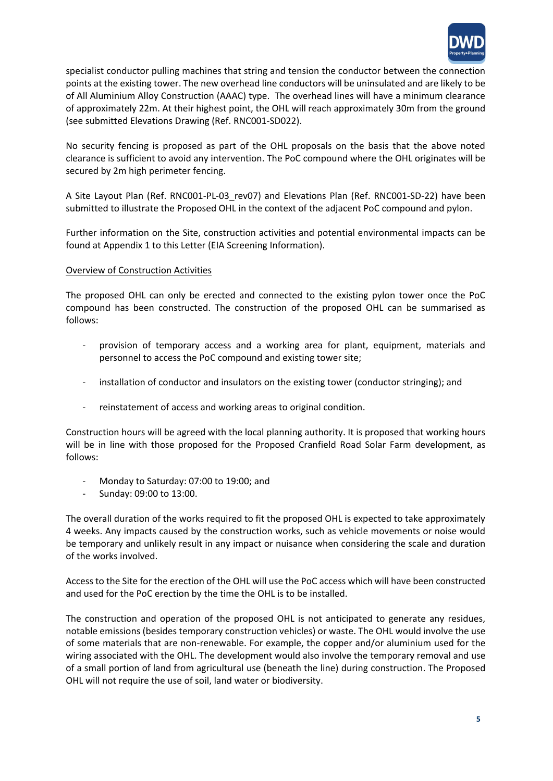

specialist conductor pulling machines that string and tension the conductor between the connection points at the existing tower. The new overhead line conductors will be uninsulated and are likely to be of All Aluminium Alloy Construction (AAAC) type. The overhead lines will have a minimum clearance of approximately 22m. At their highest point, the OHL will reach approximately 30m from the ground (see submitted Elevations Drawing (Ref. RNC001-SD022).

No security fencing is proposed as part of the OHL proposals on the basis that the above noted clearance is sufficient to avoid any intervention. The PoC compound where the OHL originates will be secured by 2m high perimeter fencing.

A Site Layout Plan (Ref. RNC001-PL-03\_rev07) and Elevations Plan (Ref. RNC001-SD-22) have been submitted to illustrate the Proposed OHL in the context of the adjacent PoC compound and pylon.

Further information on the Site, construction activities and potential environmental impacts can be found at Appendix 1 to this Letter (EIA Screening Information).

## Overview of Construction Activities

The proposed OHL can only be erected and connected to the existing pylon tower once the PoC compound has been constructed. The construction of the proposed OHL can be summarised as follows:

- provision of temporary access and a working area for plant, equipment, materials and personnel to access the PoC compound and existing tower site;
- installation of conductor and insulators on the existing tower (conductor stringing); and
- reinstatement of access and working areas to original condition.

Construction hours will be agreed with the local planning authority. It is proposed that working hours will be in line with those proposed for the Proposed Cranfield Road Solar Farm development, as follows:

- Monday to Saturday: 07:00 to 19:00; and
- Sunday: 09:00 to 13:00.

The overall duration of the works required to fit the proposed OHL is expected to take approximately 4 weeks. Any impacts caused by the construction works, such as vehicle movements or noise would be temporary and unlikely result in any impact or nuisance when considering the scale and duration of the works involved.

Access to the Site for the erection of the OHL will use the PoC access which will have been constructed and used for the PoC erection by the time the OHL is to be installed.

The construction and operation of the proposed OHL is not anticipated to generate any residues, notable emissions (besides temporary construction vehicles) or waste. The OHL would involve the use of some materials that are non-renewable. For example, the copper and/or aluminium used for the wiring associated with the OHL. The development would also involve the temporary removal and use of a small portion of land from agricultural use (beneath the line) during construction. The Proposed OHL will not require the use of soil, land water or biodiversity.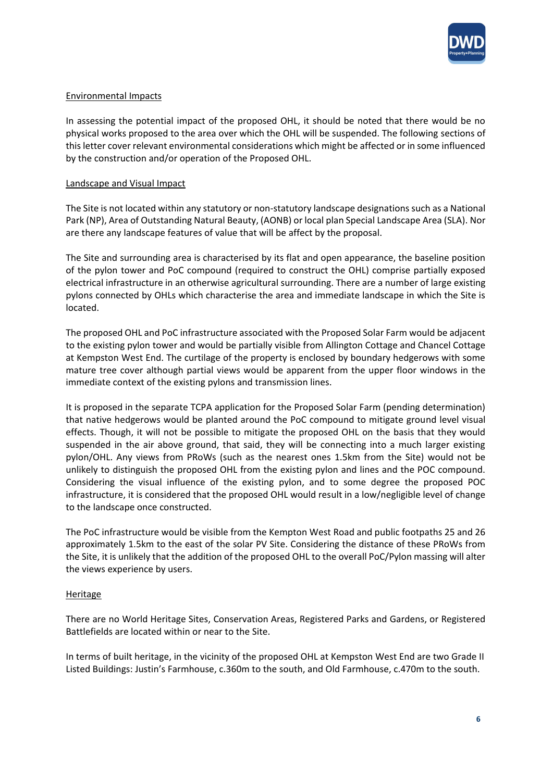

## Environmental Impacts

In assessing the potential impact of the proposed OHL, it should be noted that there would be no physical works proposed to the area over which the OHL will be suspended. The following sections of this letter cover relevant environmental considerations which might be affected or in some influenced by the construction and/or operation of the Proposed OHL.

## Landscape and Visual Impact

The Site is not located within any statutory or non-statutory landscape designations such as a National Park (NP), Area of Outstanding Natural Beauty, (AONB) or local plan Special Landscape Area (SLA). Nor are there any landscape features of value that will be affect by the proposal.

The Site and surrounding area is characterised by its flat and open appearance, the baseline position of the pylon tower and PoC compound (required to construct the OHL) comprise partially exposed electrical infrastructure in an otherwise agricultural surrounding. There are a number of large existing pylons connected by OHLs which characterise the area and immediate landscape in which the Site is located.

The proposed OHL and PoC infrastructure associated with the Proposed Solar Farm would be adjacent to the existing pylon tower and would be partially visible from Allington Cottage and Chancel Cottage at Kempston West End. The curtilage of the property is enclosed by boundary hedgerows with some mature tree cover although partial views would be apparent from the upper floor windows in the immediate context of the existing pylons and transmission lines.

It is proposed in the separate TCPA application for the Proposed Solar Farm (pending determination) that native hedgerows would be planted around the PoC compound to mitigate ground level visual effects. Though, it will not be possible to mitigate the proposed OHL on the basis that they would suspended in the air above ground, that said, they will be connecting into a much larger existing pylon/OHL. Any views from PRoWs (such as the nearest ones 1.5km from the Site) would not be unlikely to distinguish the proposed OHL from the existing pylon and lines and the POC compound. Considering the visual influence of the existing pylon, and to some degree the proposed POC infrastructure, it is considered that the proposed OHL would result in a low/negligible level of change to the landscape once constructed.

The PoC infrastructure would be visible from the Kempton West Road and public footpaths 25 and 26 approximately 1.5km to the east of the solar PV Site. Considering the distance of these PRoWs from the Site, it is unlikely that the addition of the proposed OHL to the overall PoC/Pylon massing will alter the views experience by users.

## Heritage

There are no World Heritage Sites, Conservation Areas, Registered Parks and Gardens, or Registered Battlefields are located within or near to the Site.

In terms of built heritage, in the vicinity of the proposed OHL at Kempston West End are two Grade II Listed Buildings: Justin's Farmhouse, c.360m to the south, and Old Farmhouse, c.470m to the south.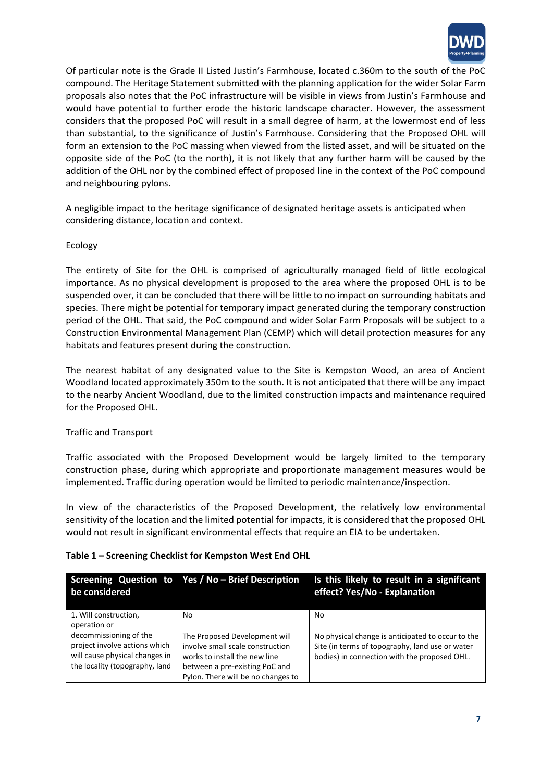

Of particular note is the Grade II Listed Justin's Farmhouse, located c.360m to the south of the PoC compound. The Heritage Statement submitted with the planning application for the wider Solar Farm proposals also notes that the PoC infrastructure will be visible in views from Justin's Farmhouse and would have potential to further erode the historic landscape character. However, the assessment considers that the proposed PoC will result in a small degree of harm, at the lowermost end of less than substantial, to the significance of Justin's Farmhouse. Considering that the Proposed OHL will form an extension to the PoC massing when viewed from the listed asset, and will be situated on the opposite side of the PoC (to the north), it is not likely that any further harm will be caused by the addition of the OHL nor by the combined effect of proposed line in the context of the PoC compound and neighbouring pylons.

A negligible impact to the heritage significance of designated heritage assets is anticipated when considering distance, location and context.

## Ecology

The entirety of Site for the OHL is comprised of agriculturally managed field of little ecological importance. As no physical development is proposed to the area where the proposed OHL is to be suspended over, it can be concluded that there will be little to no impact on surrounding habitats and species. There might be potential for temporary impact generated during the temporary construction period of the OHL. That said, the PoC compound and wider Solar Farm Proposals will be subject to a Construction Environmental Management Plan (CEMP) which will detail protection measures for any habitats and features present during the construction.

The nearest habitat of any designated value to the Site is Kempston Wood, an area of Ancient Woodland located approximately 350m to the south. It is not anticipated that there will be any impact to the nearby Ancient Woodland, due to the limited construction impacts and maintenance required for the Proposed OHL.

## Traffic and Transport

Traffic associated with the Proposed Development would be largely limited to the temporary construction phase, during which appropriate and proportionate management measures would be implemented. Traffic during operation would be limited to periodic maintenance/inspection.

In view of the characteristics of the Proposed Development, the relatively low environmental sensitivity of the location and the limited potential for impacts, it is considered that the proposed OHL would not result in significant environmental effects that require an EIA to be undertaken.

## **Table 1 – Screening Checklist for Kempston West End OHL**

| be considered                                                                                                               | Screening Question to Yes / No - Brief Description                                                                                                                         | Is this likely to result in a significant<br>effect? Yes/No - Explanation                                                                            |
|-----------------------------------------------------------------------------------------------------------------------------|----------------------------------------------------------------------------------------------------------------------------------------------------------------------------|------------------------------------------------------------------------------------------------------------------------------------------------------|
| 1. Will construction,<br>operation or                                                                                       | No.                                                                                                                                                                        | No.                                                                                                                                                  |
| decommissioning of the<br>project involve actions which<br>will cause physical changes in<br>the locality (topography, land | The Proposed Development will<br>involve small scale construction<br>works to install the new line<br>between a pre-existing PoC and<br>Pylon. There will be no changes to | No physical change is anticipated to occur to the<br>Site (in terms of topography, land use or water<br>bodies) in connection with the proposed OHL. |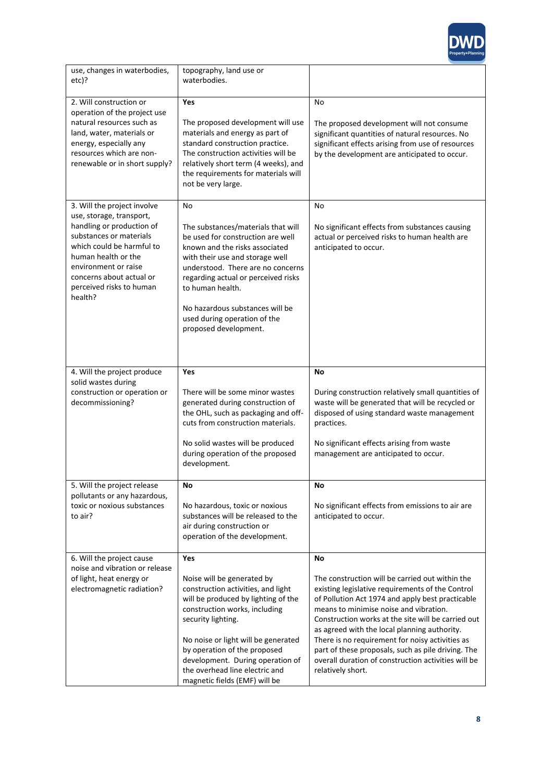

| use, changes in waterbodies,<br>etc)?                                                                                                                                                               | topography, land use or<br>waterbodies.                                                                                                                                                                                                                                                                                                      |                                                                                                                                                                                                                                                                                                                                                                                                                                                                                              |
|-----------------------------------------------------------------------------------------------------------------------------------------------------------------------------------------------------|----------------------------------------------------------------------------------------------------------------------------------------------------------------------------------------------------------------------------------------------------------------------------------------------------------------------------------------------|----------------------------------------------------------------------------------------------------------------------------------------------------------------------------------------------------------------------------------------------------------------------------------------------------------------------------------------------------------------------------------------------------------------------------------------------------------------------------------------------|
| 2. Will construction or<br>operation of the project use                                                                                                                                             | Yes                                                                                                                                                                                                                                                                                                                                          | No                                                                                                                                                                                                                                                                                                                                                                                                                                                                                           |
| natural resources such as<br>land, water, materials or<br>energy, especially any<br>resources which are non-<br>renewable or in short supply?                                                       | The proposed development will use<br>materials and energy as part of<br>standard construction practice.<br>The construction activities will be<br>relatively short term (4 weeks), and<br>the requirements for materials will<br>not be very large.                                                                                          | The proposed development will not consume<br>significant quantities of natural resources. No<br>significant effects arising from use of resources<br>by the development are anticipated to occur.                                                                                                                                                                                                                                                                                            |
| 3. Will the project involve<br>use, storage, transport,                                                                                                                                             | No                                                                                                                                                                                                                                                                                                                                           | No                                                                                                                                                                                                                                                                                                                                                                                                                                                                                           |
| handling or production of<br>substances or materials<br>which could be harmful to<br>human health or the<br>environment or raise<br>concerns about actual or<br>perceived risks to human<br>health? | The substances/materials that will<br>be used for construction are well<br>known and the risks associated<br>with their use and storage well<br>understood. There are no concerns<br>regarding actual or perceived risks<br>to human health.<br>No hazardous substances will be<br>used during operation of the<br>proposed development.     | No significant effects from substances causing<br>actual or perceived risks to human health are<br>anticipated to occur.                                                                                                                                                                                                                                                                                                                                                                     |
|                                                                                                                                                                                                     |                                                                                                                                                                                                                                                                                                                                              |                                                                                                                                                                                                                                                                                                                                                                                                                                                                                              |
| 4. Will the project produce<br>solid wastes during<br>construction or operation or<br>decommissioning?                                                                                              | Yes<br>There will be some minor wastes<br>generated during construction of<br>the OHL, such as packaging and off-<br>cuts from construction materials.<br>No solid wastes will be produced<br>during operation of the proposed<br>development.                                                                                               | No<br>During construction relatively small quantities of<br>waste will be generated that will be recycled or<br>disposed of using standard waste management<br>practices.<br>No significant effects arising from waste<br>management are anticipated to occur.                                                                                                                                                                                                                               |
| 5. Will the project release                                                                                                                                                                         | No                                                                                                                                                                                                                                                                                                                                           | No                                                                                                                                                                                                                                                                                                                                                                                                                                                                                           |
| pollutants or any hazardous,<br>toxic or noxious substances<br>to air?                                                                                                                              | No hazardous, toxic or noxious<br>substances will be released to the<br>air during construction or<br>operation of the development.                                                                                                                                                                                                          | No significant effects from emissions to air are<br>anticipated to occur.                                                                                                                                                                                                                                                                                                                                                                                                                    |
| 6. Will the project cause<br>noise and vibration or release                                                                                                                                         | Yes                                                                                                                                                                                                                                                                                                                                          | No                                                                                                                                                                                                                                                                                                                                                                                                                                                                                           |
| of light, heat energy or<br>electromagnetic radiation?                                                                                                                                              | Noise will be generated by<br>construction activities, and light<br>will be produced by lighting of the<br>construction works, including<br>security lighting.<br>No noise or light will be generated<br>by operation of the proposed<br>development. During operation of<br>the overhead line electric and<br>magnetic fields (EMF) will be | The construction will be carried out within the<br>existing legislative requirements of the Control<br>of Pollution Act 1974 and apply best practicable<br>means to minimise noise and vibration.<br>Construction works at the site will be carried out<br>as agreed with the local planning authority.<br>There is no requirement for noisy activities as<br>part of these proposals, such as pile driving. The<br>overall duration of construction activities will be<br>relatively short. |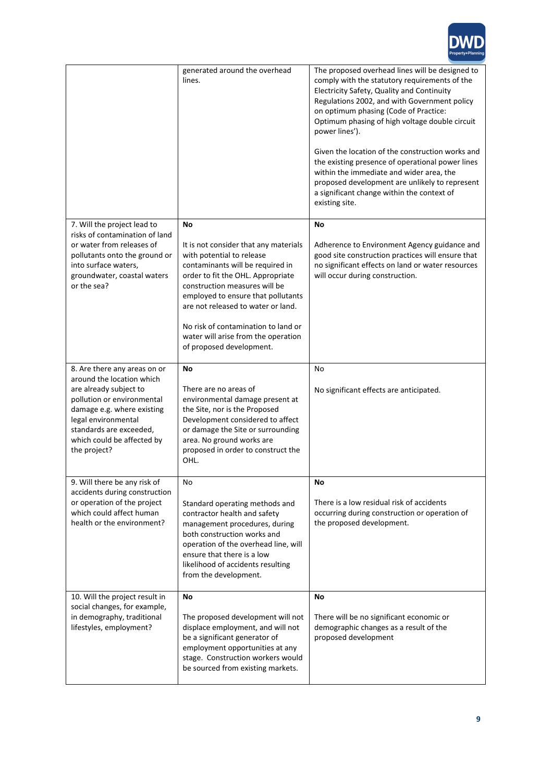

|                                                                                                                                                                                                                                                 | generated around the overhead<br>lines.                                                                                                                                                                                                                                                                                                                                  | The proposed overhead lines will be designed to<br>comply with the statutory requirements of the<br>Electricity Safety, Quality and Continuity<br>Regulations 2002, and with Government policy<br>on optimum phasing (Code of Practice:<br>Optimum phasing of high voltage double circuit<br>power lines').<br>Given the location of the construction works and<br>the existing presence of operational power lines<br>within the immediate and wider area, the<br>proposed development are unlikely to represent<br>a significant change within the context of<br>existing site. |
|-------------------------------------------------------------------------------------------------------------------------------------------------------------------------------------------------------------------------------------------------|--------------------------------------------------------------------------------------------------------------------------------------------------------------------------------------------------------------------------------------------------------------------------------------------------------------------------------------------------------------------------|-----------------------------------------------------------------------------------------------------------------------------------------------------------------------------------------------------------------------------------------------------------------------------------------------------------------------------------------------------------------------------------------------------------------------------------------------------------------------------------------------------------------------------------------------------------------------------------|
| 7. Will the project lead to<br>risks of contamination of land<br>or water from releases of<br>pollutants onto the ground or<br>into surface waters,<br>groundwater, coastal waters<br>or the sea?                                               | No<br>It is not consider that any materials<br>with potential to release<br>contaminants will be required in<br>order to fit the OHL. Appropriate<br>construction measures will be<br>employed to ensure that pollutants<br>are not released to water or land.<br>No risk of contamination to land or<br>water will arise from the operation<br>of proposed development. | No<br>Adherence to Environment Agency guidance and<br>good site construction practices will ensure that<br>no significant effects on land or water resources<br>will occur during construction.                                                                                                                                                                                                                                                                                                                                                                                   |
| 8. Are there any areas on or<br>around the location which<br>are already subject to<br>pollution or environmental<br>damage e.g. where existing<br>legal environmental<br>standards are exceeded,<br>which could be affected by<br>the project? | No<br>There are no areas of<br>environmental damage present at<br>the Site, nor is the Proposed<br>Development considered to affect<br>or damage the Site or surrounding<br>area. No ground works are<br>proposed in order to construct the<br>OHL.                                                                                                                      | No<br>No significant effects are anticipated.                                                                                                                                                                                                                                                                                                                                                                                                                                                                                                                                     |
| 9. Will there be any risk of<br>accidents during construction<br>or operation of the project<br>which could affect human<br>health or the environment?                                                                                          | No<br>Standard operating methods and<br>contractor health and safety<br>management procedures, during<br>both construction works and<br>operation of the overhead line, will<br>ensure that there is a low<br>likelihood of accidents resulting<br>from the development.                                                                                                 | No<br>There is a low residual risk of accidents<br>occurring during construction or operation of<br>the proposed development.                                                                                                                                                                                                                                                                                                                                                                                                                                                     |
| 10. Will the project result in<br>social changes, for example,<br>in demography, traditional<br>lifestyles, employment?                                                                                                                         | No<br>The proposed development will not<br>displace employment, and will not<br>be a significant generator of<br>employment opportunities at any<br>stage. Construction workers would<br>be sourced from existing markets.                                                                                                                                               | No<br>There will be no significant economic or<br>demographic changes as a result of the<br>proposed development                                                                                                                                                                                                                                                                                                                                                                                                                                                                  |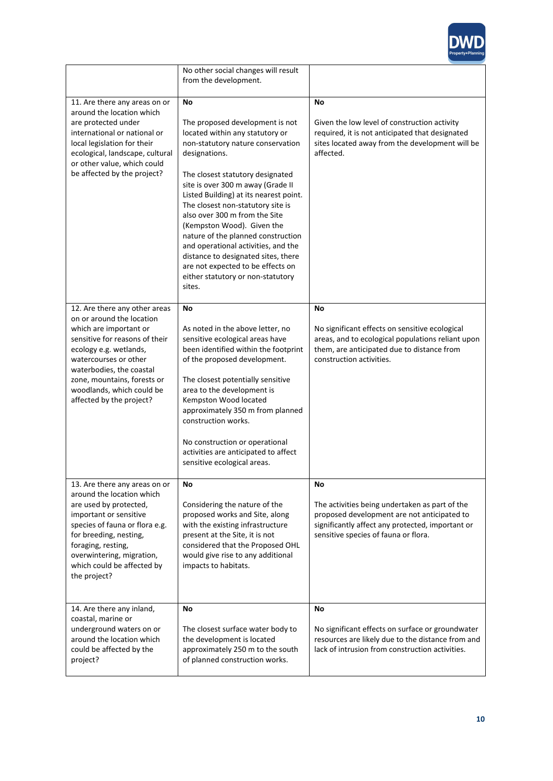

|                                                                                                                                                                                                                                                                                               | No other social changes will result<br>from the development.                                                                                                                                                                                                                                                                                                                                                                                                                                                                                                  |                                                                                                                                                                                                 |
|-----------------------------------------------------------------------------------------------------------------------------------------------------------------------------------------------------------------------------------------------------------------------------------------------|---------------------------------------------------------------------------------------------------------------------------------------------------------------------------------------------------------------------------------------------------------------------------------------------------------------------------------------------------------------------------------------------------------------------------------------------------------------------------------------------------------------------------------------------------------------|-------------------------------------------------------------------------------------------------------------------------------------------------------------------------------------------------|
| 11. Are there any areas on or<br>around the location which<br>are protected under<br>international or national or<br>local legislation for their<br>ecological, landscape, cultural<br>or other value, which could<br>be affected by the project?                                             | No<br>The proposed development is not<br>located within any statutory or<br>non-statutory nature conservation<br>designations.<br>The closest statutory designated<br>site is over 300 m away (Grade II<br>Listed Building) at its nearest point.<br>The closest non-statutory site is<br>also over 300 m from the Site<br>(Kempston Wood). Given the<br>nature of the planned construction<br>and operational activities, and the<br>distance to designated sites, there<br>are not expected to be effects on<br>either statutory or non-statutory<br>sites. | No<br>Given the low level of construction activity<br>required, it is not anticipated that designated<br>sites located away from the development will be<br>affected.                           |
| 12. Are there any other areas<br>on or around the location<br>which are important or<br>sensitive for reasons of their<br>ecology e.g. wetlands,<br>watercourses or other<br>waterbodies, the coastal<br>zone, mountains, forests or<br>woodlands, which could be<br>affected by the project? | No<br>As noted in the above letter, no<br>sensitive ecological areas have<br>been identified within the footprint<br>of the proposed development.<br>The closest potentially sensitive<br>area to the development is<br>Kempston Wood located<br>approximately 350 m from planned<br>construction works.<br>No construction or operational<br>activities are anticipated to affect<br>sensitive ecological areas.                                                                                                                                             | No<br>No significant effects on sensitive ecological<br>areas, and to ecological populations reliant upon<br>them, are anticipated due to distance from<br>construction activities.             |
| 13. Are there any areas on or<br>around the location which<br>are used by protected,<br>important or sensitive<br>species of fauna or flora e.g.<br>for breeding, nesting,<br>foraging, resting,<br>overwintering, migration,<br>which could be affected by<br>the project?                   | No<br>Considering the nature of the<br>proposed works and Site, along<br>with the existing infrastructure<br>present at the Site, it is not<br>considered that the Proposed OHL<br>would give rise to any additional<br>impacts to habitats.                                                                                                                                                                                                                                                                                                                  | No<br>The activities being undertaken as part of the<br>proposed development are not anticipated to<br>significantly affect any protected, important or<br>sensitive species of fauna or flora. |
| 14. Are there any inland,<br>coastal, marine or<br>underground waters on or<br>around the location which<br>could be affected by the<br>project?                                                                                                                                              | No<br>The closest surface water body to<br>the development is located<br>approximately 250 m to the south<br>of planned construction works.                                                                                                                                                                                                                                                                                                                                                                                                                   | No<br>No significant effects on surface or groundwater<br>resources are likely due to the distance from and<br>lack of intrusion from construction activities.                                  |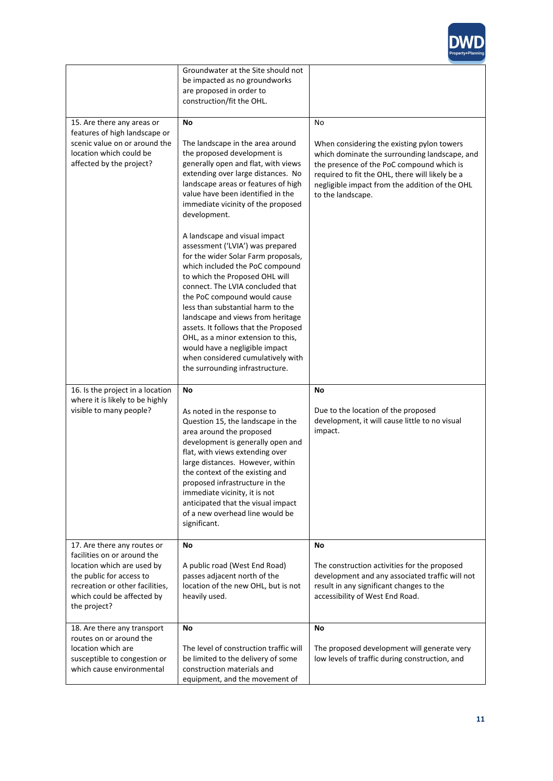

|                                                                                                                                                     | Groundwater at the Site should not<br>be impacted as no groundworks<br>are proposed in order to<br>construction/fit the OHL.                                                                                                                                                                                                                                                                                                                                                                                                                                                                                                                                                                                                                                             |                                                                                                                                                                                                                                                                          |
|-----------------------------------------------------------------------------------------------------------------------------------------------------|--------------------------------------------------------------------------------------------------------------------------------------------------------------------------------------------------------------------------------------------------------------------------------------------------------------------------------------------------------------------------------------------------------------------------------------------------------------------------------------------------------------------------------------------------------------------------------------------------------------------------------------------------------------------------------------------------------------------------------------------------------------------------|--------------------------------------------------------------------------------------------------------------------------------------------------------------------------------------------------------------------------------------------------------------------------|
| 15. Are there any areas or<br>features of high landscape or<br>scenic value on or around the<br>location which could be<br>affected by the project? | No<br>The landscape in the area around<br>the proposed development is<br>generally open and flat, with views<br>extending over large distances. No<br>landscape areas or features of high<br>value have been identified in the<br>immediate vicinity of the proposed<br>development.<br>A landscape and visual impact<br>assessment ('LVIA') was prepared<br>for the wider Solar Farm proposals,<br>which included the PoC compound<br>to which the Proposed OHL will<br>connect. The LVIA concluded that<br>the PoC compound would cause<br>less than substantial harm to the<br>landscape and views from heritage<br>assets. It follows that the Proposed<br>OHL, as a minor extension to this,<br>would have a negligible impact<br>when considered cumulatively with | No<br>When considering the existing pylon towers<br>which dominate the surrounding landscape, and<br>the presence of the PoC compound which is<br>required to fit the OHL, there will likely be a<br>negligible impact from the addition of the OHL<br>to the landscape. |
| 16. Is the project in a location                                                                                                                    | the surrounding infrastructure.<br>No                                                                                                                                                                                                                                                                                                                                                                                                                                                                                                                                                                                                                                                                                                                                    | No                                                                                                                                                                                                                                                                       |
| where it is likely to be highly<br>visible to many people?                                                                                          | As noted in the response to<br>Question 15, the landscape in the<br>area around the proposed<br>development is generally open and<br>flat, with views extending over<br>large distances. However, within<br>the context of the existing and<br>proposed infrastructure in the<br>immediate vicinity, it is not<br>anticipated that the visual impact<br>of a new overhead line would be<br>significant.                                                                                                                                                                                                                                                                                                                                                                  | Due to the location of the proposed<br>development, it will cause little to no visual<br>impact.                                                                                                                                                                         |
| 17. Are there any routes or<br>facilities on or around the                                                                                          | No                                                                                                                                                                                                                                                                                                                                                                                                                                                                                                                                                                                                                                                                                                                                                                       | No                                                                                                                                                                                                                                                                       |
| location which are used by<br>the public for access to<br>recreation or other facilities,<br>which could be affected by<br>the project?             | A public road (West End Road)<br>passes adjacent north of the<br>location of the new OHL, but is not<br>heavily used.                                                                                                                                                                                                                                                                                                                                                                                                                                                                                                                                                                                                                                                    | The construction activities for the proposed<br>development and any associated traffic will not<br>result in any significant changes to the<br>accessibility of West End Road.                                                                                           |
| 18. Are there any transport                                                                                                                         | No                                                                                                                                                                                                                                                                                                                                                                                                                                                                                                                                                                                                                                                                                                                                                                       | No                                                                                                                                                                                                                                                                       |
| routes on or around the<br>location which are<br>susceptible to congestion or<br>which cause environmental                                          | The level of construction traffic will<br>be limited to the delivery of some<br>construction materials and                                                                                                                                                                                                                                                                                                                                                                                                                                                                                                                                                                                                                                                               | The proposed development will generate very<br>low levels of traffic during construction, and                                                                                                                                                                            |